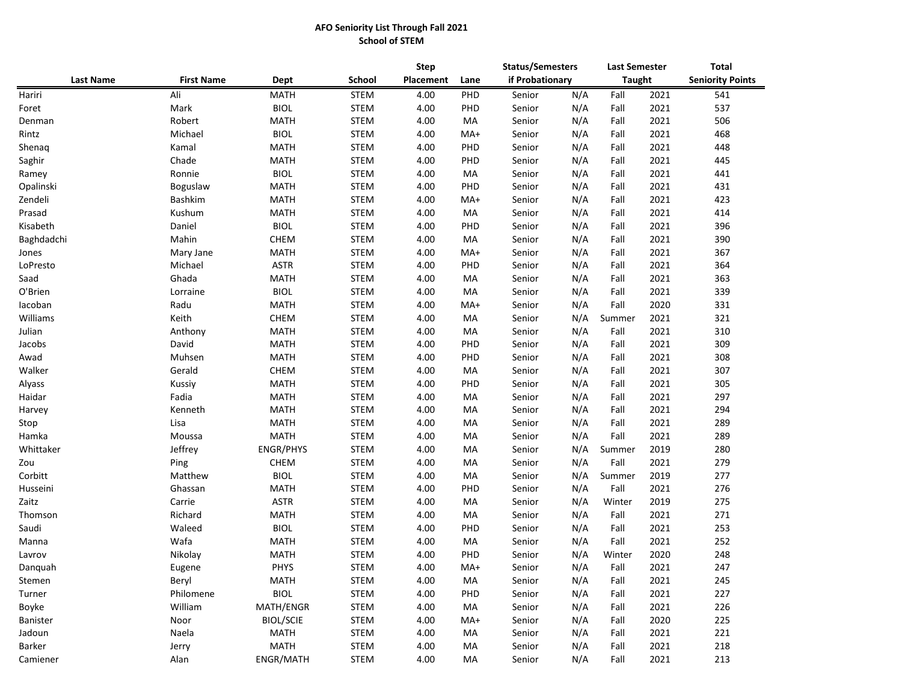## **AFO Seniority List Through Fall 2021 School of STEM**

|                  |                   |                  |             | <b>Step</b> |      |        | <b>Status/Semesters</b> |        |               | <b>Total</b>            |  |
|------------------|-------------------|------------------|-------------|-------------|------|--------|-------------------------|--------|---------------|-------------------------|--|
| <b>Last Name</b> | <b>First Name</b> | Dept             | School      | Placement   | Lane |        | if Probationary         |        | <b>Taught</b> | <b>Seniority Points</b> |  |
| Hariri           | Ali               | <b>MATH</b>      | <b>STEM</b> | 4.00        | PHD  | Senior | N/A                     | Fall   | 2021          | 541                     |  |
| Foret            | Mark              | <b>BIOL</b>      | <b>STEM</b> | 4.00        | PHD  | Senior | N/A                     | Fall   | 2021          | 537                     |  |
| Denman           | Robert            | <b>MATH</b>      | <b>STEM</b> | 4.00        | MA   | Senior | N/A                     | Fall   | 2021          | 506                     |  |
| Rintz            | Michael           | <b>BIOL</b>      | <b>STEM</b> | 4.00        | MA+  | Senior | N/A                     | Fall   | 2021          | 468                     |  |
| Shenaq           | Kamal             | <b>MATH</b>      | <b>STEM</b> | 4.00        | PHD  | Senior | N/A                     | Fall   | 2021          | 448                     |  |
| Saghir           | Chade             | <b>MATH</b>      | <b>STEM</b> | 4.00        | PHD  | Senior | N/A                     | Fall   | 2021          | 445                     |  |
| Ramey            | Ronnie            | <b>BIOL</b>      | <b>STEM</b> | 4.00        | MA   | Senior | N/A                     | Fall   | 2021          | 441                     |  |
| Opalinski        | Boguslaw          | <b>MATH</b>      | STEM        | 4.00        | PHD  | Senior | N/A                     | Fall   | 2021          | 431                     |  |
| Zendeli          | Bashkim           | <b>MATH</b>      | <b>STEM</b> | 4.00        | MA+  | Senior | N/A                     | Fall   | 2021          | 423                     |  |
| Prasad           | Kushum            | <b>MATH</b>      | <b>STEM</b> | 4.00        | MA   | Senior | N/A                     | Fall   | 2021          | 414                     |  |
| Kisabeth         | Daniel            | <b>BIOL</b>      | <b>STEM</b> | 4.00        | PHD  | Senior | N/A                     | Fall   | 2021          | 396                     |  |
| Baghdadchi       | Mahin             | <b>CHEM</b>      | <b>STEM</b> | 4.00        | МA   | Senior | N/A                     | Fall   | 2021          | 390                     |  |
| Jones            | Mary Jane         | <b>MATH</b>      | <b>STEM</b> | 4.00        | MA+  | Senior | N/A                     | Fall   | 2021          | 367                     |  |
| LoPresto         | Michael           | <b>ASTR</b>      | <b>STEM</b> | 4.00        | PHD  | Senior | N/A                     | Fall   | 2021          | 364                     |  |
| Saad             | Ghada             | <b>MATH</b>      | <b>STEM</b> | 4.00        | МA   | Senior | N/A                     | Fall   | 2021          | 363                     |  |
| O'Brien          | Lorraine          | <b>BIOL</b>      | <b>STEM</b> | 4.00        | MA   | Senior | N/A                     | Fall   | 2021          | 339                     |  |
| lacoban          | Radu              | <b>MATH</b>      | <b>STEM</b> | 4.00        | MA+  | Senior | N/A                     | Fall   | 2020          | 331                     |  |
| Williams         | Keith             | <b>CHEM</b>      | <b>STEM</b> | 4.00        | МA   | Senior | N/A                     | Summer | 2021          | 321                     |  |
| Julian           | Anthony           | <b>MATH</b>      | <b>STEM</b> | 4.00        | МA   | Senior | N/A                     | Fall   | 2021          | 310                     |  |
| Jacobs           | David             | <b>MATH</b>      | <b>STEM</b> | 4.00        | PHD  | Senior | N/A                     | Fall   | 2021          | 309                     |  |
| Awad             | Muhsen            | <b>MATH</b>      | STEM        | 4.00        | PHD  | Senior | N/A                     | Fall   | 2021          | 308                     |  |
| Walker           | Gerald            | <b>CHEM</b>      | STEM        | 4.00        | MA   | Senior | N/A                     | Fall   | 2021          | 307                     |  |
| Alyass           | Kussiy            | <b>MATH</b>      | STEM        | 4.00        | PHD  | Senior | N/A                     | Fall   | 2021          | 305                     |  |
| Haidar           | Fadia             | <b>MATH</b>      | <b>STEM</b> | 4.00        | МA   | Senior | N/A                     | Fall   | 2021          | 297                     |  |
| Harvey           | Kenneth           | <b>MATH</b>      | <b>STEM</b> | 4.00        | МA   | Senior | N/A                     | Fall   | 2021          | 294                     |  |
| Stop             | Lisa              | <b>MATH</b>      | <b>STEM</b> | 4.00        | МA   | Senior | N/A                     | Fall   | 2021          | 289                     |  |
| Hamka            | Moussa            | <b>MATH</b>      | <b>STEM</b> | 4.00        | МA   | Senior | N/A                     | Fall   | 2021          | 289                     |  |
| Whittaker        | Jeffrey           | <b>ENGR/PHYS</b> | <b>STEM</b> | 4.00        | МA   | Senior | N/A                     | Summer | 2019          | 280                     |  |
| Zou              | Ping              | <b>CHEM</b>      | <b>STEM</b> | 4.00        | МA   | Senior | N/A                     | Fall   | 2021          | 279                     |  |
| Corbitt          | Matthew           | <b>BIOL</b>      | <b>STEM</b> | 4.00        | МA   | Senior | N/A                     | Summer | 2019          | 277                     |  |
| Husseini         | Ghassan           | <b>MATH</b>      | <b>STEM</b> | 4.00        | PHD  | Senior | N/A                     | Fall   | 2021          | 276                     |  |
| Zaitz            | Carrie            | <b>ASTR</b>      | <b>STEM</b> | 4.00        | MA   | Senior | N/A                     | Winter | 2019          | 275                     |  |
| Thomson          | Richard           | <b>MATH</b>      | <b>STEM</b> | 4.00        | МA   | Senior | N/A                     | Fall   | 2021          | 271                     |  |
| Saudi            | Waleed            | <b>BIOL</b>      | <b>STEM</b> | 4.00        | PHD  | Senior | N/A                     | Fall   | 2021          | 253                     |  |
| Manna            | Wafa              | <b>MATH</b>      | <b>STEM</b> | 4.00        | MA   | Senior | N/A                     | Fall   | 2021          | 252                     |  |
| Lavrov           | Nikolay           | <b>MATH</b>      | <b>STEM</b> | 4.00        | PHD  | Senior | N/A                     | Winter | 2020          | 248                     |  |
| Danquah          | Eugene            | <b>PHYS</b>      | <b>STEM</b> | 4.00        | MA+  | Senior | N/A                     | Fall   | 2021          | 247                     |  |
| Stemen           | Beryl             | <b>MATH</b>      | STEM        | 4.00        | MA   | Senior | N/A                     | Fall   | 2021          | 245                     |  |
| Turner           | Philomene         | <b>BIOL</b>      | STEM        | 4.00        | PHD  | Senior | N/A                     | Fall   | 2021          | 227                     |  |
| Boyke            | William           | MATH/ENGR        | STEM        | 4.00        | MA   | Senior | N/A                     | Fall   | 2021          | 226                     |  |
| Banister         | Noor              | <b>BIOL/SCIE</b> | STEM        | 4.00        | MA+  | Senior | N/A                     | Fall   | 2020          | 225                     |  |
| Jadoun           | Naela             | <b>MATH</b>      | STEM        | 4.00        | MA   | Senior | N/A                     | Fall   | 2021          | 221                     |  |
| Barker           | Jerry             | MATH             | STEM        | 4.00        | МA   | Senior | N/A                     | Fall   | 2021          | 218                     |  |
| Camiener         | Alan              | ENGR/MATH        | STEM        | 4.00        | МA   | Senior | N/A                     | Fall   | 2021          | 213                     |  |
|                  |                   |                  |             |             |      |        |                         |        |               |                         |  |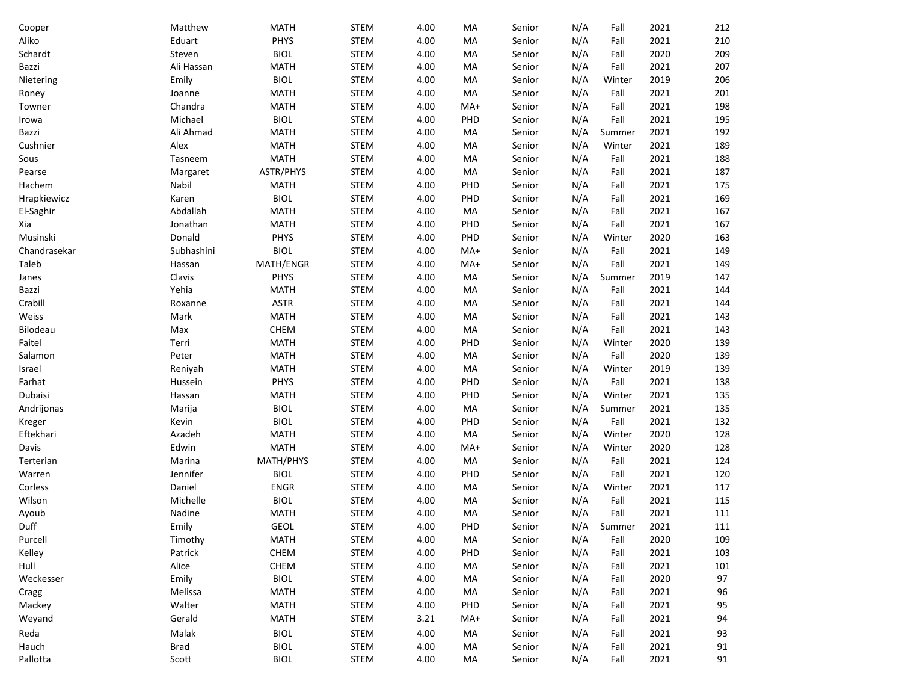| Cooper       | Matthew     | <b>MATH</b> | <b>STEM</b> | 4.00 | MA  | Senior | N/A | Fall   | 2021 | 212 |
|--------------|-------------|-------------|-------------|------|-----|--------|-----|--------|------|-----|
| Aliko        | Eduart      | PHYS        | <b>STEM</b> | 4.00 | MA  | Senior | N/A | Fall   | 2021 | 210 |
| Schardt      | Steven      | <b>BIOL</b> | <b>STEM</b> | 4.00 | MA  | Senior | N/A | Fall   | 2020 | 209 |
| Bazzi        | Ali Hassan  | <b>MATH</b> | <b>STEM</b> | 4.00 | MA  | Senior | N/A | Fall   | 2021 | 207 |
| Nietering    | Emily       | <b>BIOL</b> | <b>STEM</b> | 4.00 | MA  | Senior | N/A | Winter | 2019 | 206 |
| Roney        | Joanne      | <b>MATH</b> | <b>STEM</b> | 4.00 | MA  | Senior | N/A | Fall   | 2021 | 201 |
| Towner       | Chandra     | <b>MATH</b> | <b>STEM</b> | 4.00 | MA+ | Senior | N/A | Fall   | 2021 | 198 |
| Irowa        | Michael     | <b>BIOL</b> | <b>STEM</b> | 4.00 | PHD | Senior | N/A | Fall   | 2021 | 195 |
| Bazzi        | Ali Ahmad   | <b>MATH</b> | <b>STEM</b> | 4.00 | MA  | Senior | N/A | Summer | 2021 | 192 |
| Cushnier     | Alex        | <b>MATH</b> | <b>STEM</b> | 4.00 | MA  | Senior | N/A | Winter | 2021 | 189 |
| Sous         | Tasneem     | <b>MATH</b> | <b>STEM</b> | 4.00 | MA  | Senior | N/A | Fall   | 2021 | 188 |
| Pearse       | Margaret    | ASTR/PHYS   | <b>STEM</b> | 4.00 | MA  | Senior | N/A | Fall   | 2021 | 187 |
| Hachem       | Nabil       | <b>MATH</b> | <b>STEM</b> | 4.00 | PHD | Senior | N/A | Fall   | 2021 | 175 |
| Hrapkiewicz  | Karen       | <b>BIOL</b> | <b>STEM</b> | 4.00 | PHD | Senior | N/A | Fall   | 2021 | 169 |
| El-Saghir    | Abdallah    | <b>MATH</b> | <b>STEM</b> | 4.00 | MA  | Senior | N/A | Fall   | 2021 | 167 |
| Xia          | Jonathan    | <b>MATH</b> | <b>STEM</b> | 4.00 | PHD | Senior | N/A | Fall   | 2021 | 167 |
| Musinski     | Donald      | PHYS        | <b>STEM</b> | 4.00 | PHD | Senior | N/A | Winter | 2020 | 163 |
| Chandrasekar | Subhashini  | <b>BIOL</b> | <b>STEM</b> | 4.00 | MA+ | Senior | N/A | Fall   | 2021 | 149 |
| Taleb        | Hassan      | MATH/ENGR   | <b>STEM</b> | 4.00 | MA+ | Senior | N/A | Fall   | 2021 | 149 |
| Janes        | Clavis      | PHYS        | <b>STEM</b> | 4.00 | MA  | Senior | N/A | Summer | 2019 | 147 |
| Bazzi        | Yehia       | <b>MATH</b> | <b>STEM</b> | 4.00 | MA  | Senior | N/A | Fall   | 2021 | 144 |
| Crabill      | Roxanne     | <b>ASTR</b> | <b>STEM</b> | 4.00 | MA  | Senior | N/A | Fall   | 2021 | 144 |
| Weiss        | Mark        | <b>MATH</b> | <b>STEM</b> | 4.00 | MA  | Senior | N/A | Fall   | 2021 | 143 |
| Bilodeau     | Max         | CHEM        | <b>STEM</b> | 4.00 | MA  | Senior | N/A | Fall   | 2021 | 143 |
| Faitel       | Terri       | <b>MATH</b> | <b>STEM</b> | 4.00 | PHD | Senior | N/A | Winter | 2020 | 139 |
| Salamon      | Peter       | <b>MATH</b> | <b>STEM</b> | 4.00 | MA  | Senior | N/A | Fall   | 2020 | 139 |
| Israel       | Reniyah     | <b>MATH</b> | <b>STEM</b> | 4.00 | MA  | Senior | N/A | Winter | 2019 | 139 |
| Farhat       | Hussein     | PHYS        | <b>STEM</b> | 4.00 | PHD | Senior | N/A | Fall   | 2021 | 138 |
| Dubaisi      | Hassan      | <b>MATH</b> | <b>STEM</b> | 4.00 | PHD | Senior | N/A | Winter | 2021 | 135 |
| Andrijonas   | Marija      | <b>BIOL</b> | <b>STEM</b> | 4.00 | MA  | Senior | N/A | Summer | 2021 | 135 |
| Kreger       | Kevin       | <b>BIOL</b> | <b>STEM</b> | 4.00 | PHD | Senior | N/A | Fall   | 2021 | 132 |
| Eftekhari    | Azadeh      | <b>MATH</b> | <b>STEM</b> | 4.00 | MA  | Senior | N/A | Winter | 2020 | 128 |
| Davis        | Edwin       | <b>MATH</b> | <b>STEM</b> | 4.00 | MA+ | Senior | N/A | Winter | 2020 | 128 |
| Terterian    | Marina      | MATH/PHYS   | <b>STEM</b> | 4.00 | MA  | Senior | N/A | Fall   | 2021 | 124 |
| Warren       | Jennifer    | <b>BIOL</b> | <b>STEM</b> | 4.00 | PHD | Senior | N/A | Fall   | 2021 | 120 |
| Corless      | Daniel      | <b>ENGR</b> | <b>STEM</b> | 4.00 | MA  | Senior | N/A | Winter | 2021 | 117 |
| Wilson       | Michelle    | <b>BIOL</b> | <b>STEM</b> | 4.00 | MA  | Senior | N/A | Fall   | 2021 | 115 |
| Ayoub        | Nadine      | <b>MATH</b> | <b>STEM</b> | 4.00 | MA  | Senior | N/A | Fall   | 2021 | 111 |
| Duff         | Emily       | <b>GEOL</b> | <b>STEM</b> | 4.00 | PHD | Senior | N/A | Summer | 2021 | 111 |
| Purcell      | Timothy     | MATH        | <b>STEM</b> | 4.00 | MA  | Senior | N/A | Fall   | 2020 | 109 |
| Kelley       | Patrick     | CHEM        | <b>STEM</b> | 4.00 | PHD | Senior | N/A | Fall   | 2021 | 103 |
| Hull         | Alice       | CHEM        | <b>STEM</b> | 4.00 | MA  | Senior | N/A | Fall   | 2021 | 101 |
| Weckesser    | Emily       | <b>BIOL</b> | <b>STEM</b> | 4.00 | MA  | Senior | N/A | Fall   | 2020 | 97  |
| Cragg        | Melissa     | <b>MATH</b> | <b>STEM</b> | 4.00 | MA  | Senior | N/A | Fall   | 2021 | 96  |
| Mackey       | Walter      | MATH        | <b>STEM</b> | 4.00 | PHD | Senior | N/A | Fall   | 2021 | 95  |
| Weyand       | Gerald      | MATH        | <b>STEM</b> | 3.21 | MA+ | Senior | N/A | Fall   | 2021 | 94  |
| Reda         | Malak       | <b>BIOL</b> | <b>STEM</b> | 4.00 | MA  | Senior | N/A | Fall   | 2021 | 93  |
| Hauch        | <b>Brad</b> | <b>BIOL</b> | <b>STEM</b> | 4.00 | MA  | Senior | N/A | Fall   | 2021 | 91  |
| Pallotta     | Scott       | <b>BIOL</b> | <b>STEM</b> | 4.00 | MA  | Senior | N/A | Fall   | 2021 | 91  |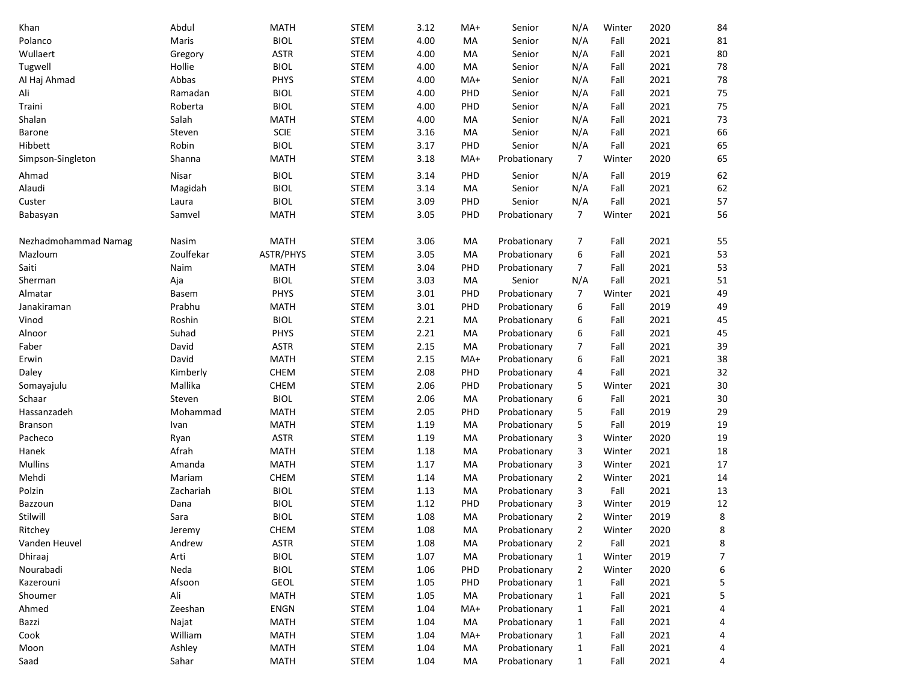| Khan                 | Abdul           | <b>MATH</b>                | <b>STEM</b>                | 3.12         | MA+        | Senior                       | N/A            | Winter         | 2020         | 84                |
|----------------------|-----------------|----------------------------|----------------------------|--------------|------------|------------------------------|----------------|----------------|--------------|-------------------|
| Polanco              | Maris           | <b>BIOL</b>                | <b>STEM</b>                | 4.00         | MA         | Senior                       | N/A            | Fall           | 2021         | 81                |
| Wullaert             | Gregory         | <b>ASTR</b>                | <b>STEM</b>                | 4.00         | MA         | Senior                       | N/A            | Fall           | 2021         | 80                |
| Tugwell              | Hollie          | <b>BIOL</b>                | <b>STEM</b>                | 4.00         | MA         | Senior                       | N/A            | Fall           | 2021         | 78                |
| Al Haj Ahmad         | Abbas           | PHYS                       | <b>STEM</b>                | 4.00         | MA+        | Senior                       | N/A            | Fall           | 2021         | 78                |
| Ali                  | Ramadan         | <b>BIOL</b>                | <b>STEM</b>                | 4.00         | PHD        | Senior                       | N/A            | Fall           | 2021         | 75                |
| Traini               | Roberta         | <b>BIOL</b>                | <b>STEM</b>                | 4.00         | PHD        | Senior                       | N/A            | Fall           | 2021         | 75                |
| Shalan               | Salah           | <b>MATH</b>                | <b>STEM</b>                | 4.00         | MA         | Senior                       | N/A            | Fall           | 2021         | 73                |
| Barone               | Steven          | <b>SCIE</b>                | <b>STEM</b>                | 3.16         | MA         | Senior                       | N/A            | Fall           | 2021         | 66                |
| Hibbett              | Robin           | <b>BIOL</b>                | <b>STEM</b>                | 3.17         | PHD        | Senior                       | N/A            | Fall           | 2021         | 65                |
| Simpson-Singleton    | Shanna          | <b>MATH</b>                | <b>STEM</b>                | 3.18         | MA+        | Probationary                 | 7              | Winter         | 2020         | 65                |
| Ahmad                | Nisar           | <b>BIOL</b>                | <b>STEM</b>                | 3.14         | PHD        | Senior                       | N/A            | Fall           | 2019         | 62                |
| Alaudi               | Magidah         | <b>BIOL</b>                | <b>STEM</b>                | 3.14         | MA         | Senior                       | N/A            | Fall           | 2021         | 62                |
| Custer               | Laura           | <b>BIOL</b>                | <b>STEM</b>                | 3.09         | PHD        | Senior                       | N/A            | Fall           | 2021         | 57                |
| Babasyan             | Samvel          | <b>MATH</b>                | <b>STEM</b>                | 3.05         | PHD        | Probationary                 | 7              | Winter         | 2021         | 56                |
| Nezhadmohammad Namag | Nasim           | <b>MATH</b>                | <b>STEM</b>                | 3.06         | MA         | Probationary                 | 7              | Fall           | 2021         | 55                |
| Mazloum              | Zoulfekar       | ASTR/PHYS                  | <b>STEM</b>                | 3.05         | MA         | Probationary                 | 6              | Fall           | 2021         | 53                |
| Saiti                | Naim            | <b>MATH</b>                | <b>STEM</b>                | 3.04         | PHD        | Probationary                 | $\overline{7}$ | Fall           | 2021         | 53                |
| Sherman              | Aja             | <b>BIOL</b>                | <b>STEM</b>                | 3.03         | MA         | Senior                       | N/A            | Fall           | 2021         | 51                |
| Almatar              | <b>Basem</b>    | PHYS                       | <b>STEM</b>                | 3.01         | PHD        | Probationary                 | 7              | Winter         | 2021         | 49                |
| Janakiraman          | Prabhu          | <b>MATH</b>                | <b>STEM</b>                | 3.01         | PHD        | Probationary                 | 6              | Fall           | 2019         | 49                |
|                      |                 | <b>BIOL</b>                |                            |              |            |                              |                |                |              |                   |
| Vinod                | Roshin<br>Suhad | PHYS                       | <b>STEM</b><br><b>STEM</b> | 2.21<br>2.21 | MA<br>MA   | Probationary                 | 6              | Fall<br>Fall   | 2021<br>2021 | 45<br>45          |
| Alnoor               | David           | <b>ASTR</b>                | <b>STEM</b>                | 2.15         | MA         | Probationary<br>Probationary | 6<br>7         | Fall           | 2021         | 39                |
| Faber                | David           |                            |                            |              |            |                              |                |                |              | 38                |
| Erwin                | Kimberly        | <b>MATH</b>                | <b>STEM</b>                | 2.15         | $MA+$      | Probationary                 | 6              | Fall           | 2021         | 32                |
| Daley                | Mallika         | CHEM<br>CHEM               | <b>STEM</b><br><b>STEM</b> | 2.08<br>2.06 | PHD<br>PHD | Probationary<br>Probationary | 4              | Fall<br>Winter | 2021<br>2021 | 30                |
| Somayajulu           |                 | <b>BIOL</b>                |                            |              |            |                              | 5              |                | 2021         |                   |
| Schaar               | Steven          |                            | <b>STEM</b>                | 2.06         | MA         | Probationary                 | 6              | Fall           |              | 30<br>29          |
| Hassanzadeh          | Mohammad        | <b>MATH</b>                | <b>STEM</b>                | 2.05         | PHD        | Probationary                 | 5              | Fall           | 2019         |                   |
| Branson              | Ivan            | <b>MATH</b><br><b>ASTR</b> | <b>STEM</b>                | 1.19         | MA         | Probationary                 | 5              | Fall<br>Winter | 2019         | 19                |
| Pacheco              | Ryan            |                            | <b>STEM</b>                | 1.19         | MA         | Probationary                 | 3              |                | 2020         | 19                |
| Hanek                | Afrah           | <b>MATH</b>                | <b>STEM</b>                | 1.18         | MA         | Probationary                 | 3              | Winter         | 2021         | 18                |
| <b>Mullins</b>       | Amanda          | <b>MATH</b>                | <b>STEM</b>                | 1.17         | MA         | Probationary                 | 3              | Winter         | 2021         | 17                |
| Mehdi                | Mariam          | CHEM                       | <b>STEM</b>                | 1.14         | MA         | Probationary                 | $\overline{2}$ | Winter         | 2021         | 14                |
| Polzin               | Zachariah       | <b>BIOL</b>                | <b>STEM</b>                | 1.13         | МA         | Probationary                 | 3              | Fall           | 2021         | 13                |
| Bazzoun              | Dana            | <b>BIOL</b>                | <b>STEM</b>                | 1.12         | PHD        | Probationary                 | 3              | Winter         | 2019         | 12                |
| Stilwill             | Sara            | <b>BIOL</b>                | <b>STEM</b>                | 1.08         | МA         | Probationary                 | $\mathbf{2}$   | Winter         | 2019         | 8<br>$\mathsf{R}$ |
| Ritchey              | Jeremy          | CHEM                       | <b>STEM</b>                | 1.08         | MA         | Probationary                 | 2              | Winter         | 2020         |                   |
| Vanden Heuvel        | Andrew          | ASTR                       | <b>STEM</b>                | 1.08         | MA         | Probationary                 | 2              | Fall           | 2021         | 8                 |
| Dhiraaj              | Arti            | <b>BIOL</b>                | <b>STEM</b>                | 1.07         | MA         | Probationary                 | $\mathbf{1}$   | Winter         | 2019         | 7                 |
| Nourabadi            | Neda            | <b>BIOL</b>                | <b>STEM</b>                | 1.06         | PHD        | Probationary                 | $\overline{2}$ | Winter         | 2020         | 6                 |
| Kazerouni            | Afsoon          | GEOL                       | <b>STEM</b>                | 1.05         | PHD        | Probationary                 | 1              | Fall           | 2021         | 5                 |
| Shoumer              | Ali             | <b>MATH</b>                | <b>STEM</b>                | 1.05         | МA         | Probationary                 | 1              | Fall           | 2021         | 5                 |
| Ahmed                | Zeeshan         | <b>ENGN</b>                | <b>STEM</b>                | 1.04         | MA+        | Probationary                 | 1              | Fall           | 2021         | 4                 |
| Bazzi                | Najat           | <b>MATH</b>                | <b>STEM</b>                | 1.04         | МA         | Probationary                 | 1              | Fall           | 2021         | 4                 |
| Cook                 | William         | <b>MATH</b>                | <b>STEM</b>                | 1.04         | MA+        | Probationary                 | 1              | Fall           | 2021         | 4                 |
| Moon                 | Ashley          | <b>MATH</b>                | <b>STEM</b>                | 1.04         | МA         | Probationary                 | $\mathbf{1}$   | Fall           | 2021         | 4                 |
| Saad                 | Sahar           | <b>MATH</b>                | <b>STEM</b>                | 1.04         | MA         | Probationary                 | $\mathbf{1}$   | Fall           | 2021         | 4                 |